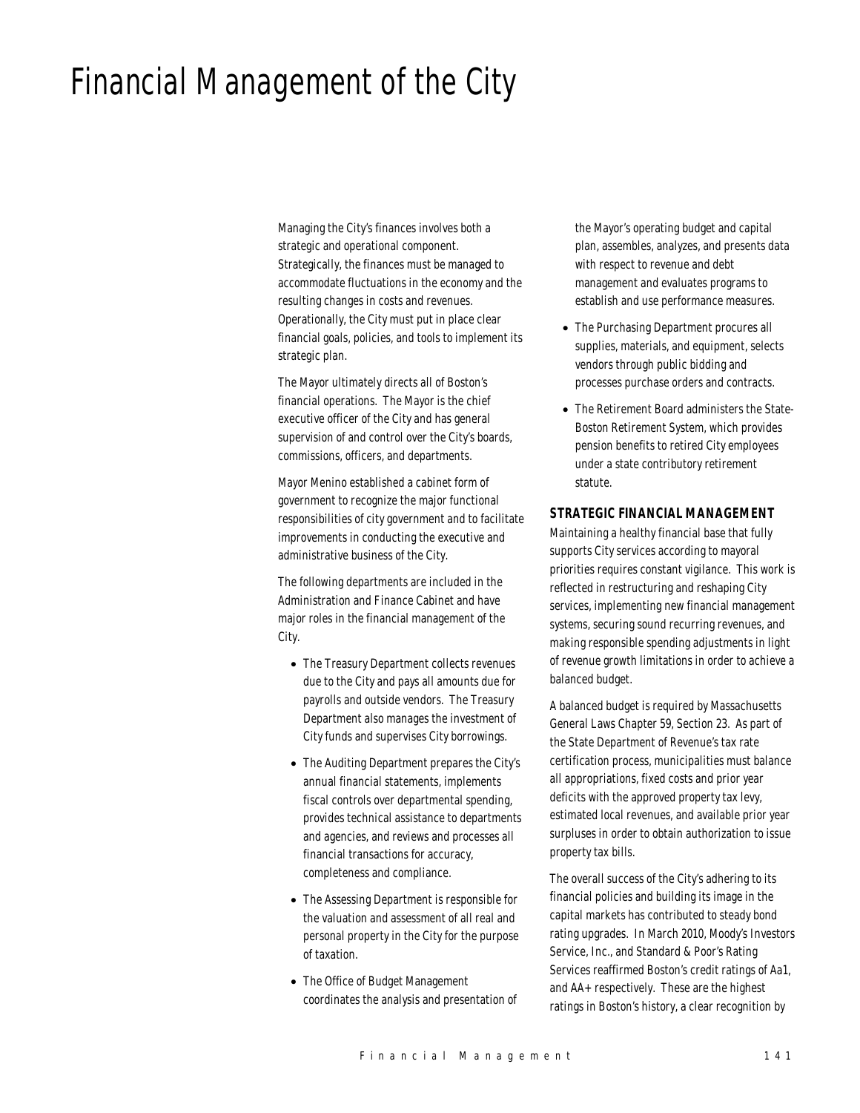# Financial Management of the City

Managing the City's finances involves both a strategic and operational component. Strategically, the finances must be managed to accommodate fluctuations in the economy and the resulting changes in costs and revenues. Operationally, the City must put in place clear financial goals, policies, and tools to implement its strategic plan.

The Mayor ultimately directs all of Boston's financial operations. The Mayor is the chief executive officer of the City and has general supervision of and control over the City's boards, commissions, officers, and departments.

Mayor Menino established a cabinet form of government to recognize the major functional responsibilities of city government and to facilitate improvements in conducting the executive and administrative business of the City.

The following departments are included in the Administration and Finance Cabinet and have major roles in the financial management of the City.

- The Treasury Department collects revenues due to the City and pays all amounts due for payrolls and outside vendors. The Treasury Department also manages the investment of City funds and supervises City borrowings.
- The Auditing Department prepares the City's annual financial statements, implements fiscal controls over departmental spending, provides technical assistance to departments and agencies, and reviews and processes all financial transactions for accuracy, completeness and compliance.
- The Assessing Department is responsible for the valuation and assessment of all real and personal property in the City for the purpose of taxation.
- The Office of Budget Management coordinates the analysis and presentation of

the Mayor's operating budget and capital plan, assembles, analyzes, and presents data with respect to revenue and debt management and evaluates programs to establish and use performance measures.

- The Purchasing Department procures all supplies, materials, and equipment, selects vendors through public bidding and processes purchase orders and contracts.
- The Retirement Board administers the State-Boston Retirement System, which provides pension benefits to retired City employees under a state contributory retirement statute.

#### *STRATEGIC FINANCIAL MANAGEMENT*

Maintaining a healthy financial base that fully supports City services according to mayoral priorities requires constant vigilance. This work is reflected in restructuring and reshaping City services, implementing new financial management systems, securing sound recurring revenues, and making responsible spending adjustments in light of revenue growth limitations in order to achieve a balanced budget.

A balanced budget is required by Massachusetts General Laws Chapter 59, Section 23. As part of the State Department of Revenue's tax rate certification process, municipalities must balance all appropriations, fixed costs and prior year deficits with the approved property tax levy, estimated local revenues, and available prior year surpluses in order to obtain authorization to issue property tax bills.

The overall success of the City's adhering to its financial policies and building its image in the capital markets has contributed to steady bond rating upgrades. In March 2010, Moody's Investors Service, Inc., and Standard & Poor's Rating Services reaffirmed Boston's credit ratings of Aa1, and AA+ respectively. These are the highest ratings in Boston's history, a clear recognition by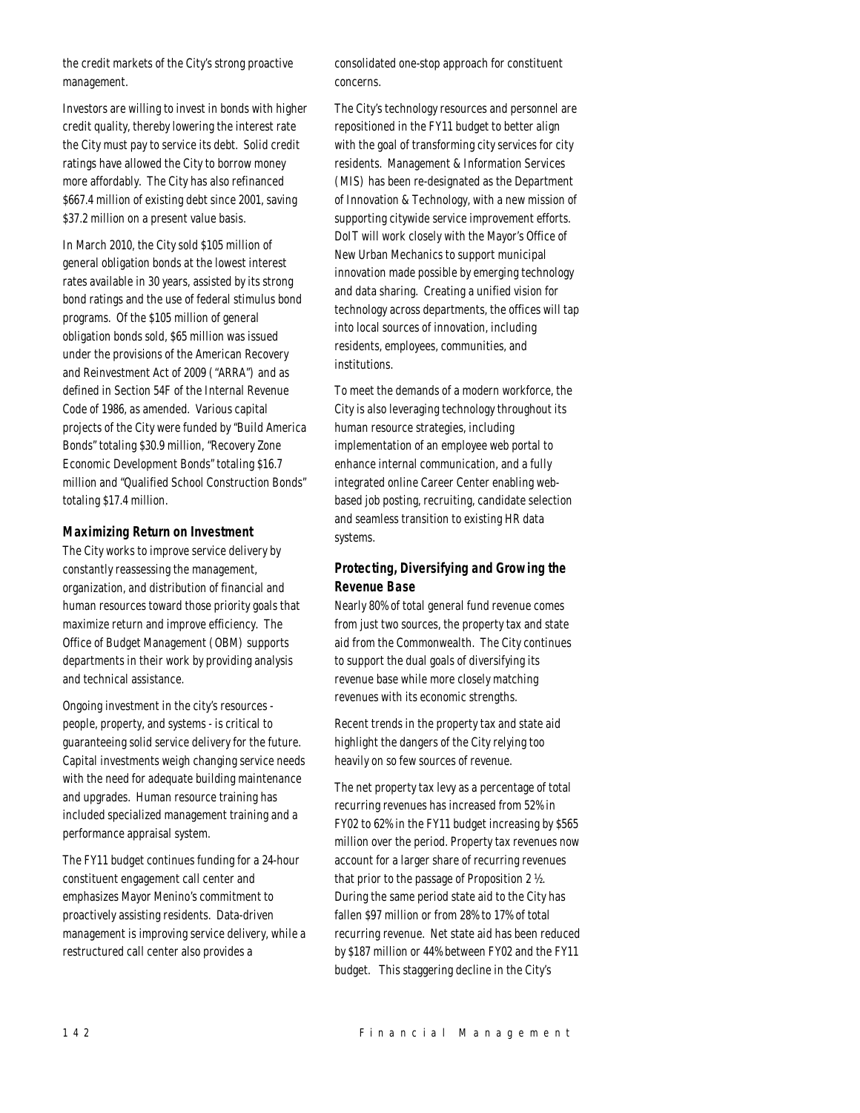the credit markets of the City's strong proactive management.

Investors are willing to invest in bonds with higher credit quality, thereby lowering the interest rate the City must pay to service its debt. Solid credit ratings have allowed the City to borrow money more affordably. The City has also refinanced \$667.4 million of existing debt since 2001, saving \$37.2 million on a present value basis.

In March 2010, the City sold \$105 million of general obligation bonds at the lowest interest rates available in 30 years, assisted by its strong bond ratings and the use of federal stimulus bond programs. Of the \$105 million of general obligation bonds sold, \$65 million was issued under the provisions of the American Recovery and Reinvestment Act of 2009 ("ARRA") and as defined in Section 54F of the Internal Revenue Code of 1986, as amended. Various capital projects of the City were funded by "Build America Bonds" totaling \$30.9 million, "Recovery Zone Economic Development Bonds" totaling \$16.7 million and "Qualified School Construction Bonds" totaling \$17.4 million.

#### *Maximizing Return on Investment*

The City works to improve service delivery by constantly reassessing the management, organization, and distribution of financial and human resources toward those priority goals that maximize return and improve efficiency. The Office of Budget Management (OBM) supports departments in their work by providing analysis and technical assistance.

Ongoing investment in the city's resources people, property, and systems - is critical to guaranteeing solid service delivery for the future. Capital investments weigh changing service needs with the need for adequate building maintenance and upgrades. Human resource training has included specialized management training and a performance appraisal system.

The FY11 budget continues funding for a 24-hour constituent engagement call center and emphasizes Mayor Menino's commitment to proactively assisting residents. Data-driven management is improving service delivery, while a restructured call center also provides a

consolidated one-stop approach for constituent concerns.

The City's technology resources and personnel are repositioned in the FY11 budget to better align with the goal of transforming city services for city residents. Management & Information Services (MIS) has been re-designated as the Department of Innovation & Technology, with a new mission of supporting citywide service improvement efforts. DoIT will work closely with the Mayor's Office of New Urban Mechanics to support municipal innovation made possible by emerging technology and data sharing. Creating a unified vision for technology across departments, the offices will tap into local sources of innovation, including residents, employees, communities, and institutions.

To meet the demands of a modern workforce, the City is also leveraging technology throughout its human resource strategies, including implementation of an employee web portal to enhance internal communication, and a fully integrated online Career Center enabling webbased job posting, recruiting, candidate selection and seamless transition to existing HR data systems.

## *Protecting, Diversifying and Growing the Revenue Base*

Nearly 80% of total general fund revenue comes from just two sources, the property tax and state aid from the Commonwealth. The City continues to support the dual goals of diversifying its revenue base while more closely matching revenues with its economic strengths.

Recent trends in the property tax and state aid highlight the dangers of the City relying too heavily on so few sources of revenue.

The net property tax levy as a percentage of total recurring revenues has increased from 52% in FY02 to 62% in the FY11 budget increasing by \$565 million over the period. Property tax revenues now account for a larger share of recurring revenues that prior to the passage of Proposition 2 ½. During the same period state aid to the City has fallen \$97 million or from 28% to 17% of total recurring revenue. Net state aid has been reduced by \$187 million or 44% between FY02 and the FY11 budget. This staggering decline in the City's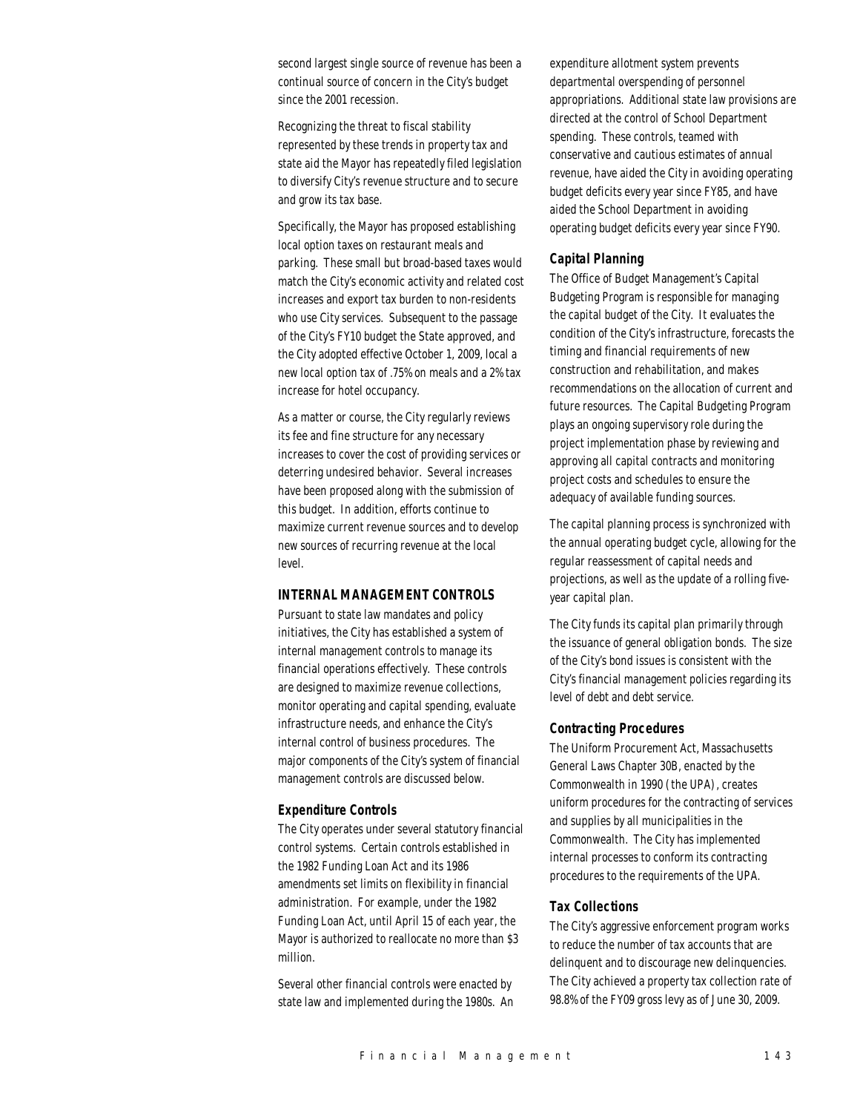second largest single source of revenue has been a continual source of concern in the City's budget since the 2001 recession.

Recognizing the threat to fiscal stability represented by these trends in property tax and state aid the Mayor has repeatedly filed legislation to diversify City's revenue structure and to secure and grow its tax base.

Specifically, the Mayor has proposed establishing local option taxes on restaurant meals and parking. These small but broad-based taxes would match the City's economic activity and related cost increases and export tax burden to non-residents who use City services. Subsequent to the passage of the City's FY10 budget the State approved, and the City adopted effective October 1, 2009, local a new local option tax of .75% on meals and a 2% tax increase for hotel occupancy.

As a matter or course, the City regularly reviews its fee and fine structure for any necessary increases to cover the cost of providing services or deterring undesired behavior. Several increases have been proposed along with the submission of this budget. In addition, efforts continue to maximize current revenue sources and to develop new sources of recurring revenue at the local level.

## *INTERNAL MANAGEMENT CONTROLS*

Pursuant to state law mandates and policy initiatives, the City has established a system of internal management controls to manage its financial operations effectively. These controls are designed to maximize revenue collections, monitor operating and capital spending, evaluate infrastructure needs, and enhance the City's internal control of business procedures. The major components of the City's system of financial management controls are discussed below.

## *Expenditure Controls*

The City operates under several statutory financial control systems. Certain controls established in the 1982 Funding Loan Act and its 1986 amendments set limits on flexibility in financial administration. For example, under the 1982 Funding Loan Act, until April 15 of each year, the Mayor is authorized to reallocate no more than \$3 million.

Several other financial controls were enacted by state law and implemented during the 1980s. An

expenditure allotment system prevents departmental overspending of personnel appropriations. Additional state law provisions are directed at the control of School Department spending. These controls, teamed with conservative and cautious estimates of annual revenue, have aided the City in avoiding operating budget deficits every year since FY85, and have aided the School Department in avoiding operating budget deficits every year since FY90.

#### *Capital Planning*

The Office of Budget Management's Capital Budgeting Program is responsible for managing the capital budget of the City. It evaluates the condition of the City's infrastructure, forecasts the timing and financial requirements of new construction and rehabilitation, and makes recommendations on the allocation of current and future resources. The Capital Budgeting Program plays an ongoing supervisory role during the project implementation phase by reviewing and approving all capital contracts and monitoring project costs and schedules to ensure the adequacy of available funding sources.

The capital planning process is synchronized with the annual operating budget cycle, allowing for the regular reassessment of capital needs and projections, as well as the update of a rolling fiveyear capital plan.

The City funds its capital plan primarily through the issuance of general obligation bonds. The size of the City's bond issues is consistent with the City's financial management policies regarding its level of debt and debt service.

#### *Contracting Procedures*

The Uniform Procurement Act, Massachusetts General Laws Chapter 30B, enacted by the Commonwealth in 1990 (the UPA), creates uniform procedures for the contracting of services and supplies by all municipalities in the Commonwealth. The City has implemented internal processes to conform its contracting procedures to the requirements of the UPA.

#### *Tax Collections*

The City's aggressive enforcement program works to reduce the number of tax accounts that are delinquent and to discourage new delinquencies. The City achieved a property tax collection rate of 98.8% of the FY09 gross levy as of June 30, 2009.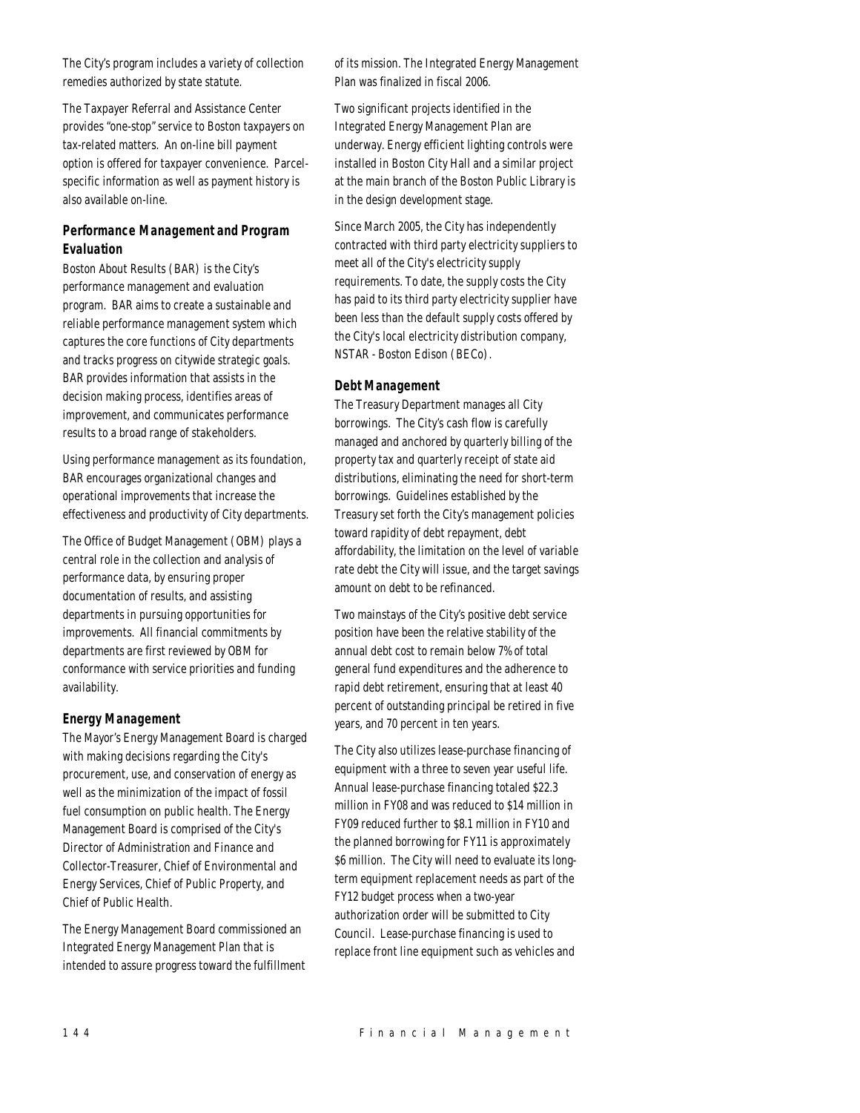The City's program includes a variety of collection remedies authorized by state statute.

The Taxpayer Referral and Assistance Center provides "one-stop" service to Boston taxpayers on tax-related matters. An on-line bill payment option is offered for taxpayer convenience. Parcelspecific information as well as payment history is also available on-line.

# *Performance Management and Program Evaluation*

Boston About Results (BAR) is the City's performance management and evaluation program. BAR aims to create a sustainable and reliable performance management system which captures the core functions of City departments and tracks progress on citywide strategic goals. BAR provides information that assists in the decision making process, identifies areas of improvement, and communicates performance results to a broad range of stakeholders.

Using performance management as its foundation, BAR encourages organizational changes and operational improvements that increase the effectiveness and productivity of City departments.

The Office of Budget Management (OBM) plays a central role in the collection and analysis of performance data, by ensuring proper documentation of results, and assisting departments in pursuing opportunities for improvements. All financial commitments by departments are first reviewed by OBM for conformance with service priorities and funding availability.

## *Energy Management*

The Mayor's Energy Management Board is charged with making decisions regarding the City's procurement, use, and conservation of energy as well as the minimization of the impact of fossil fuel consumption on public health. The Energy Management Board is comprised of the City's Director of Administration and Finance and Collector-Treasurer, Chief of Environmental and Energy Services, Chief of Public Property, and Chief of Public Health.

The Energy Management Board commissioned an Integrated Energy Management Plan that is intended to assure progress toward the fulfillment of its mission. The Integrated Energy Management Plan was finalized in fiscal 2006.

Two significant projects identified in the Integrated Energy Management Plan are underway. Energy efficient lighting controls were installed in Boston City Hall and a similar project at the main branch of the Boston Public Library is in the design development stage.

Since March 2005, the City has independently contracted with third party electricity suppliers to meet all of the City's electricity supply requirements. To date, the supply costs the City has paid to its third party electricity supplier have been less than the default supply costs offered by the City's local electricity distribution company, NSTAR - Boston Edison (BECo).

## *Debt Management*

The Treasury Department manages all City borrowings. The City's cash flow is carefully managed and anchored by quarterly billing of the property tax and quarterly receipt of state aid distributions, eliminating the need for short-term borrowings. Guidelines established by the Treasury set forth the City's management policies toward rapidity of debt repayment, debt affordability, the limitation on the level of variable rate debt the City will issue, and the target savings amount on debt to be refinanced.

Two mainstays of the City's positive debt service position have been the relative stability of the annual debt cost to remain below 7% of total general fund expenditures and the adherence to rapid debt retirement, ensuring that at least 40 percent of outstanding principal be retired in five years, and 70 percent in ten years.

The City also utilizes lease-purchase financing of equipment with a three to seven year useful life. Annual lease-purchase financing totaled \$22.3 million in FY08 and was reduced to \$14 million in FY09 reduced further to \$8.1 million in FY10 and the planned borrowing for FY11 is approximately \$6 million. The City will need to evaluate its longterm equipment replacement needs as part of the FY12 budget process when a two-year authorization order will be submitted to City Council. Lease-purchase financing is used to replace front line equipment such as vehicles and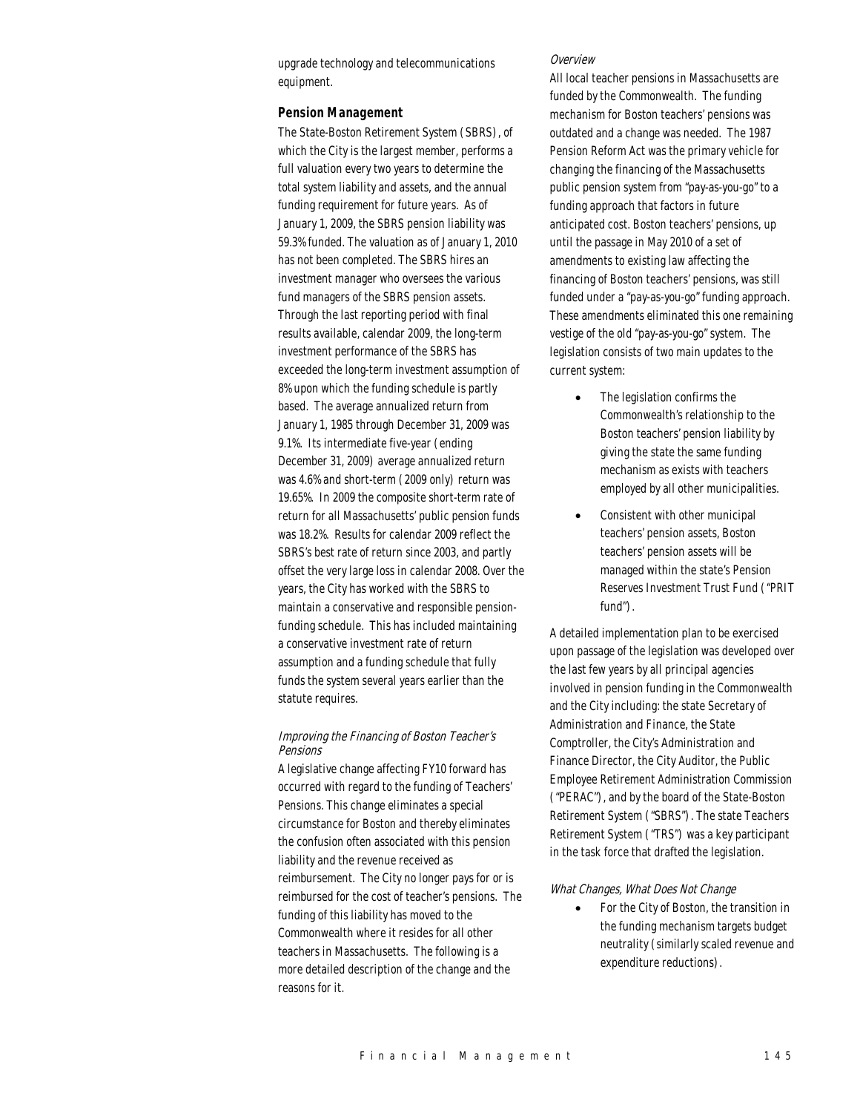upgrade technology and telecommunications equipment.

#### *Pension Management*

The State-Boston Retirement System (SBRS), of which the City is the largest member, performs a full valuation every two years to determine the total system liability and assets, and the annual funding requirement for future years. As of January 1, 2009, the SBRS pension liability was 59.3% funded. The valuation as of January 1, 2010 has not been completed. The SBRS hires an investment manager who oversees the various fund managers of the SBRS pension assets. Through the last reporting period with final results available, calendar 2009, the long-term investment performance of the SBRS has exceeded the long-term investment assumption of 8% upon which the funding schedule is partly based. The average annualized return from January 1, 1985 through December 31, 2009 was 9.1%. Its intermediate five-year (ending December 31, 2009) average annualized return was 4.6% and short-term (2009 only) return was 19.65%. In 2009 the composite short-term rate of return for all Massachusetts' public pension funds was 18.2%. Results for calendar 2009 reflect the SBRS's best rate of return since 2003, and partly offset the very large loss in calendar 2008. Over the years, the City has worked with the SBRS to maintain a conservative and responsible pensionfunding schedule. This has included maintaining a conservative investment rate of return assumption and a funding schedule that fully funds the system several years earlier than the statute requires.

#### Improving the Financing of Boston Teacher's **Pensions**

A legislative change affecting FY10 forward has occurred with regard to the funding of Teachers' Pensions. This change eliminates a special circumstance for Boston and thereby eliminates the confusion often associated with this pension liability and the revenue received as reimbursement. The City no longer pays for or is reimbursed for the cost of teacher's pensions. The funding of this liability has moved to the Commonwealth where it resides for all other teachers in Massachusetts. The following is a more detailed description of the change and the reasons for it.

#### Overview

All local teacher pensions in Massachusetts are funded by the Commonwealth. The funding mechanism for Boston teachers' pensions was outdated and a change was needed. The 1987 Pension Reform Act was the primary vehicle for changing the financing of the Massachusetts public pension system from "pay-as-you-go" to a funding approach that factors in future anticipated cost. Boston teachers' pensions, up until the passage in May 2010 of a set of amendments to existing law affecting the financing of Boston teachers' pensions, was still funded under a "pay-as-you-go" funding approach. These amendments eliminated this one remaining vestige of the old "pay-as-you-go" system. The legislation consists of two main updates to the current system:

- The legislation confirms the Commonwealth's relationship to the Boston teachers' pension liability by giving the state the same funding mechanism as exists with teachers employed by all other municipalities.
- Consistent with other municipal teachers' pension assets, Boston teachers' pension assets will be managed within the state's Pension Reserves Investment Trust Fund ("PRIT fund").

A detailed implementation plan to be exercised upon passage of the legislation was developed over the last few years by all principal agencies involved in pension funding in the Commonwealth and the City including: the state Secretary of Administration and Finance, the State Comptroller, the City's Administration and Finance Director, the City Auditor, the Public Employee Retirement Administration Commission ("PERAC"), and by the board of the State-Boston Retirement System ("SBRS"). The state Teachers Retirement System ("TRS") was a key participant in the task force that drafted the legislation.

#### What Changes, What Does Not Change

• For the City of Boston, the transition in the funding mechanism targets budget neutrality (similarly scaled revenue and expenditure reductions).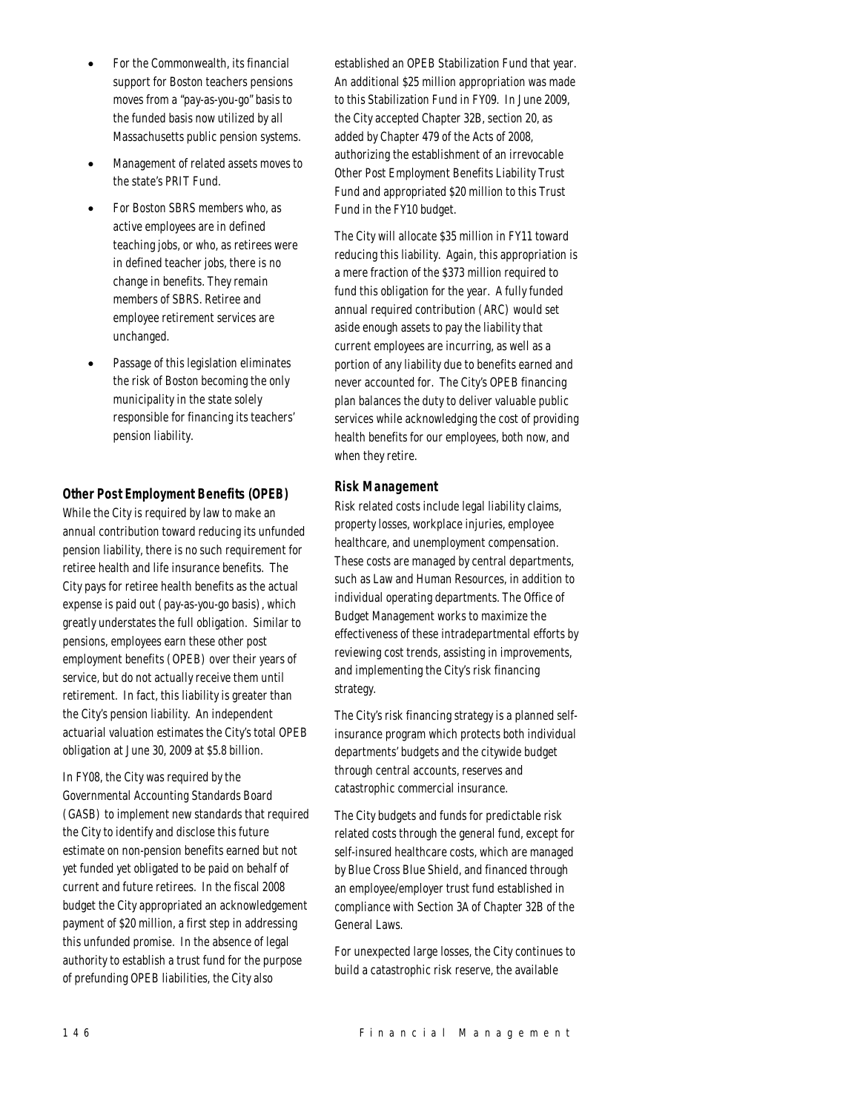- For the Commonwealth, its financial support for Boston teachers pensions moves from a "pay-as-you-go" basis to the funded basis now utilized by all Massachusetts public pension systems.
- Management of related assets moves to the state's PRIT Fund.
- For Boston SBRS members who, as active employees are in defined teaching jobs, or who, as retirees were in defined teacher jobs, there is no change in benefits. They remain members of SBRS. Retiree and employee retirement services are unchanged.
- Passage of this legislation eliminates the risk of Boston becoming the only municipality in the state solely responsible for financing its teachers' pension liability.

## *Other Post Employment Benefits (OPEB)*

While the City is required by law to make an annual contribution toward reducing its unfunded pension liability, there is no such requirement for retiree health and life insurance benefits. The City pays for retiree health benefits as the actual expense is paid out (pay-as-you-go basis), which greatly understates the full obligation. Similar to pensions, employees earn these other post employment benefits (OPEB) over their years of service, but do not actually receive them until retirement. In fact, this liability is greater than the City's pension liability. An independent actuarial valuation estimates the City's total OPEB obligation at June 30, 2009 at \$5.8 billion.

In FY08, the City was required by the Governmental Accounting Standards Board (GASB) to implement new standards that required the City to identify and disclose this future estimate on non-pension benefits earned but not yet funded yet obligated to be paid on behalf of current and future retirees. In the fiscal 2008 budget the City appropriated an acknowledgement payment of \$20 million, a first step in addressing this unfunded promise. In the absence of legal authority to establish a trust fund for the purpose of prefunding OPEB liabilities, the City also

established an OPEB Stabilization Fund that year. An additional \$25 million appropriation was made to this Stabilization Fund in FY09. In June 2009, the City accepted Chapter 32B, section 20, as added by Chapter 479 of the Acts of 2008, authorizing the establishment of an irrevocable Other Post Employment Benefits Liability Trust Fund and appropriated \$20 million to this Trust Fund in the FY10 budget.

The City will allocate \$35 million in FY11 toward reducing this liability. Again, this appropriation is a mere fraction of the \$373 million required to fund this obligation for the year. A fully funded annual required contribution (ARC) would set aside enough assets to pay the liability that current employees are incurring, as well as a portion of any liability due to benefits earned and never accounted for. The City's OPEB financing plan balances the duty to deliver valuable public services while acknowledging the cost of providing health benefits for our employees, both now, and when they retire.

## *Risk Management*

Risk related costs include legal liability claims, property losses, workplace injuries, employee healthcare, and unemployment compensation. These costs are managed by central departments, such as Law and Human Resources, in addition to individual operating departments. The Office of Budget Management works to maximize the effectiveness of these intradepartmental efforts by reviewing cost trends, assisting in improvements, and implementing the City's risk financing strategy.

The City's risk financing strategy is a planned selfinsurance program which protects both individual departments' budgets and the citywide budget through central accounts, reserves and catastrophic commercial insurance.

The City budgets and funds for predictable risk related costs through the general fund, except for self-insured healthcare costs, which are managed by Blue Cross Blue Shield, and financed through an employee/employer trust fund established in compliance with Section 3A of Chapter 32B of the General Laws.

For unexpected large losses, the City continues to build a catastrophic risk reserve, the available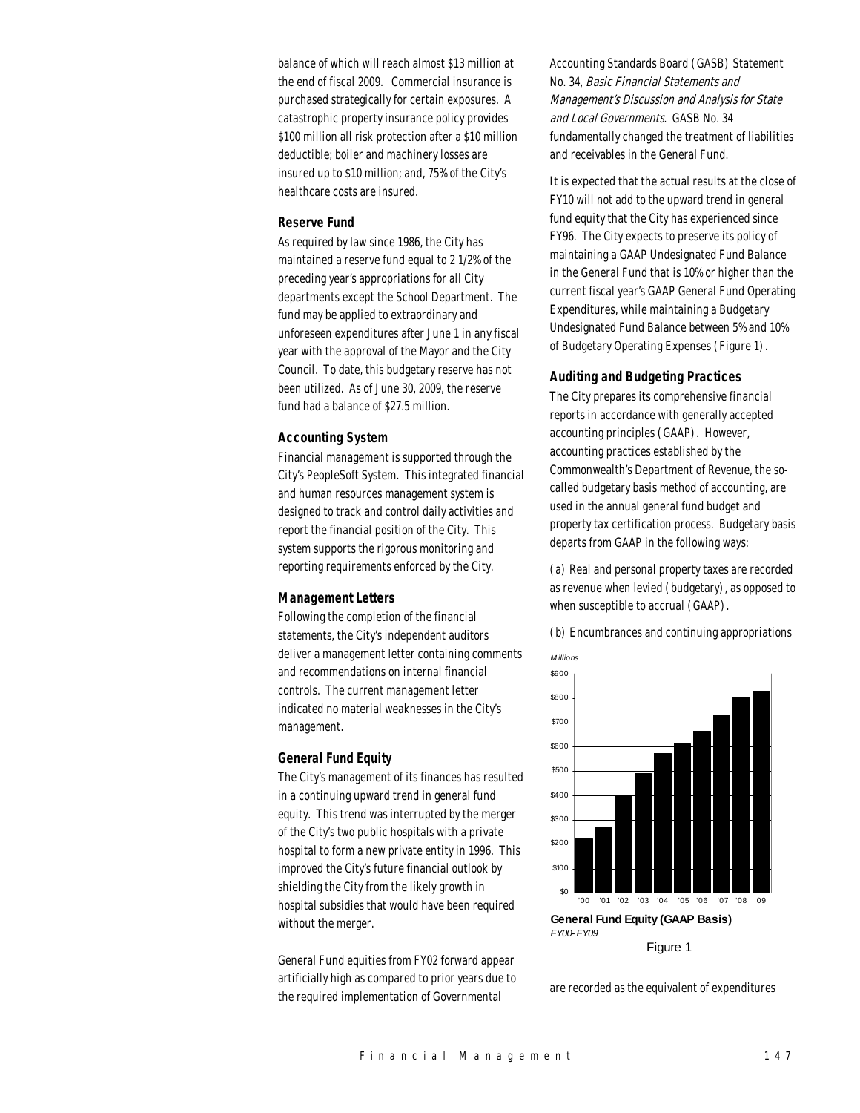balance of which will reach almost \$13 million at the end of fiscal 2009. Commercial insurance is purchased strategically for certain exposures. A catastrophic property insurance policy provides \$100 million all risk protection after a \$10 million deductible; boiler and machinery losses are insured up to \$10 million; and, 75% of the City's healthcare costs are insured.

## *Reserve Fund*

As required by law since 1986, the City has maintained a reserve fund equal to 2 1/2% of the preceding year's appropriations for all City departments except the School Department. The fund may be applied to extraordinary and unforeseen expenditures after June 1 in any fiscal year with the approval of the Mayor and the City Council. To date, this budgetary reserve has not been utilized. As of June 30, 2009, the reserve fund had a balance of \$27.5 million.

## *Accounting System*

Financial management is supported through the City's PeopleSoft System. This integrated financial and human resources management system is designed to track and control daily activities and report the financial position of the City. This system supports the rigorous monitoring and reporting requirements enforced by the City.

## *Management Letters*

Following the completion of the financial statements, the City's independent auditors deliver a management letter containing comments and recommendations on internal financial controls. The current management letter indicated no material weaknesses in the City's management.

## *General Fund Equity*

The City's management of its finances has resulted in a continuing upward trend in general fund equity. This trend was interrupted by the merger of the City's two public hospitals with a private hospital to form a new private entity in 1996. This improved the City's future financial outlook by shielding the City from the likely growth in hospital subsidies that would have been required without the merger.

General Fund equities from FY02 forward appear artificially high as compared to prior years due to the required implementation of Governmental

Accounting Standards Board (GASB) Statement No. 34, Basic Financial Statements and Management's Discussion and Analysis for State and Local Governments. GASB No. 34 fundamentally changed the treatment of liabilities and receivables in the General Fund.

It is expected that the actual results at the close of FY10 will not add to the upward trend in general fund equity that the City has experienced since FY96. The City expects to preserve its policy of maintaining a GAAP Undesignated Fund Balance in the General Fund that is 10% or higher than the current fiscal year's GAAP General Fund Operating Expenditures, while maintaining a Budgetary Undesignated Fund Balance between 5% and 10% of Budgetary Operating Expenses (Figure 1).

#### *Auditing and Budgeting Practices*

The City prepares its comprehensive financial reports in accordance with generally accepted accounting principles (GAAP). However, accounting practices established by the Commonwealth's Department of Revenue, the socalled budgetary basis method of accounting, are used in the annual general fund budget and property tax certification process. Budgetary basis departs from GAAP in the following ways:

(a) Real and personal property taxes are recorded as revenue when levied (budgetary), as opposed to when susceptible to accrual (GAAP).

(b) Encumbrances and continuing appropriations



are recorded as the equivalent of expenditures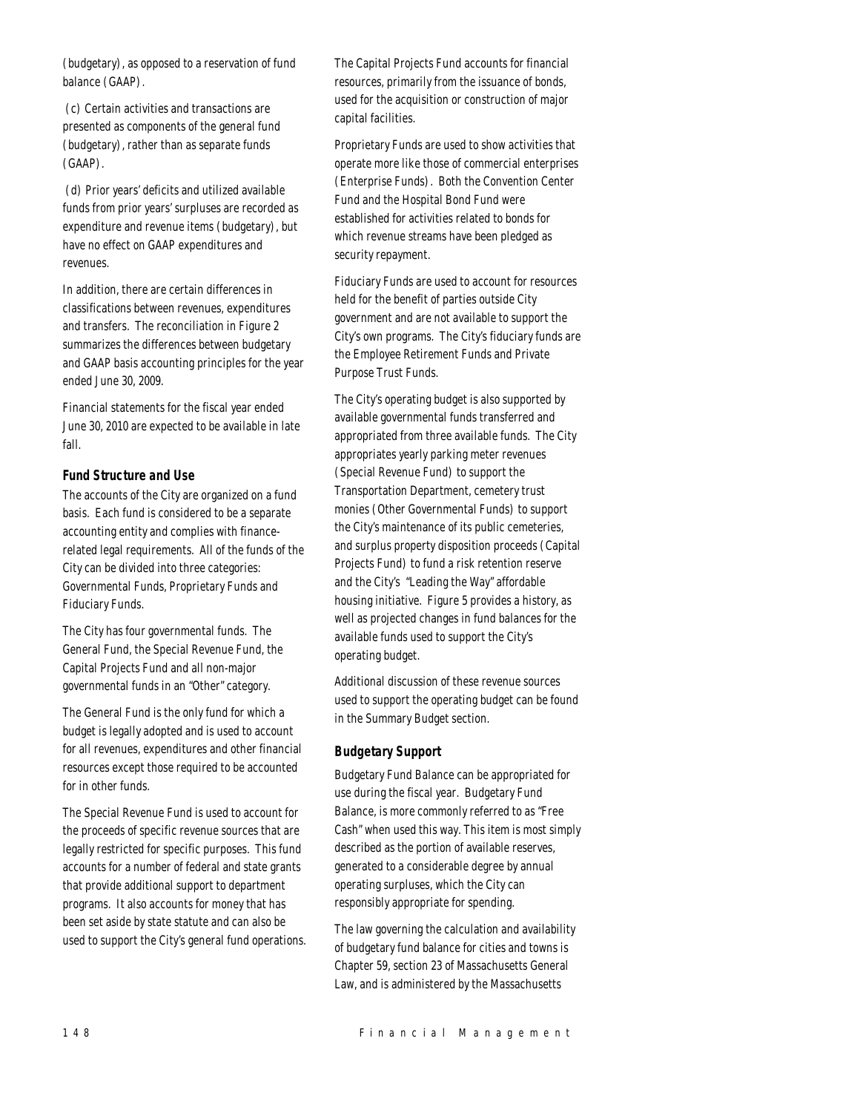(budgetary), as opposed to a reservation of fund balance (GAAP).

 (c) Certain activities and transactions are presented as components of the general fund (budgetary), rather than as separate funds (GAAP).

 (d) Prior years' deficits and utilized available funds from prior years' surpluses are recorded as expenditure and revenue items (budgetary), but have no effect on GAAP expenditures and revenues.

In addition, there are certain differences in classifications between revenues, expenditures and transfers. The reconciliation in Figure 2 summarizes the differences between budgetary and GAAP basis accounting principles for the year ended June 30, 2009.

Financial statements for the fiscal year ended June 30, 2010 are expected to be available in late fall.

## *Fund Structure and Use*

The accounts of the City are organized on a fund basis. Each fund is considered to be a separate accounting entity and complies with financerelated legal requirements. All of the funds of the City can be divided into three categories: Governmental Funds, Proprietary Funds and Fiduciary Funds.

The City has four governmental funds. The General Fund, the Special Revenue Fund, the Capital Projects Fund and all non-major governmental funds in an "Other" category.

The General Fund is the only fund for which a budget is legally adopted and is used to account for all revenues, expenditures and other financial resources except those required to be accounted for in other funds.

The Special Revenue Fund is used to account for the proceeds of specific revenue sources that are legally restricted for specific purposes. This fund accounts for a number of federal and state grants that provide additional support to department programs. It also accounts for money that has been set aside by state statute and can also be used to support the City's general fund operations. The Capital Projects Fund accounts for financial resources, primarily from the issuance of bonds, used for the acquisition or construction of major capital facilities.

Proprietary Funds are used to show activities that operate more like those of commercial enterprises (Enterprise Funds). Both the Convention Center Fund and the Hospital Bond Fund were established for activities related to bonds for which revenue streams have been pledged as security repayment.

Fiduciary Funds are used to account for resources held for the benefit of parties outside City government and are not available to support the City's own programs. The City's fiduciary funds are the Employee Retirement Funds and Private Purpose Trust Funds.

The City's operating budget is also supported by available governmental funds transferred and appropriated from three available funds. The City appropriates yearly parking meter revenues (Special Revenue Fund) to support the Transportation Department, cemetery trust monies (Other Governmental Funds) to support the City's maintenance of its public cemeteries, and surplus property disposition proceeds (Capital Projects Fund) to fund a risk retention reserve and the City's "Leading the Way" affordable housing initiative. Figure 5 provides a history, as well as projected changes in fund balances for the available funds used to support the City's operating budget.

Additional discussion of these revenue sources used to support the operating budget can be found in the Summary Budget section.

## *Budgetary Support*

Budgetary Fund Balance can be appropriated for use during the fiscal year. Budgetary Fund Balance, is more commonly referred to as "Free Cash" when used this way. This item is most simply described as the portion of available reserves, generated to a considerable degree by annual operating surpluses, which the City can responsibly appropriate for spending.

The law governing the calculation and availability of budgetary fund balance for cities and towns is Chapter 59, section 23 of Massachusetts General Law, and is administered by the Massachusetts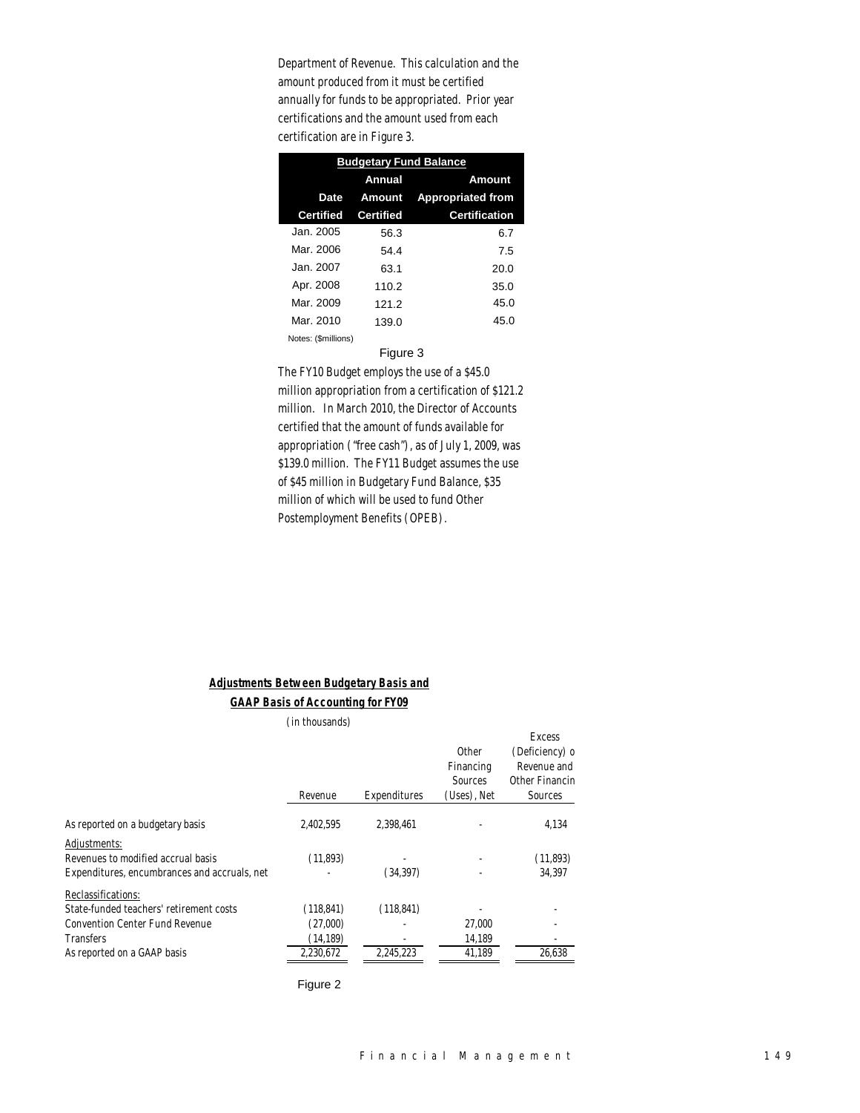Department of Revenue. This calculation and the amount produced from it must be certified annually for funds to be appropriated. Prior year certifications and the amount used from each certification are in Figure 3.

| <b>Budgetary Fund Balance</b> |                  |                          |  |  |
|-------------------------------|------------------|--------------------------|--|--|
|                               | Annual           | Amount                   |  |  |
| <b>Date</b>                   | Amount           | <b>Appropriated from</b> |  |  |
| <b>Certified</b>              | <b>Certified</b> | <b>Certification</b>     |  |  |
| Jan. 2005                     | 56.3             | 6.7                      |  |  |
| Mar. 2006                     | 54.4             | 7.5                      |  |  |
| Jan. 2007.                    | 63.1             | 20.0                     |  |  |
| Apr. 2008                     | 110.2            | 35.0                     |  |  |
| Mar. 2009                     | 121.2            | 45.0                     |  |  |
| Mar. 2010                     | 139.0            | 45.0                     |  |  |
| Notes: (\$millions)           |                  |                          |  |  |

#### Figure 3

The FY10 Budget employs the use of a \$45.0 million appropriation from a certification of \$121.2 million. In March 2010, the Director of Accounts certified that the amount of funds available for appropriation ("free cash"), as of July 1, 2009, was \$139.0 million. The FY11 Budget assumes the use of \$45 million in Budgetary Fund Balance, \$35 million of which will be used to fund Other Postemployment Benefits (OPEB).

## *Adjustments Between Budgetary Basis and GAAP Basis of Accounting for FY09*

|                                              | (in thousands) |              |                                                     |                                                                             |
|----------------------------------------------|----------------|--------------|-----------------------------------------------------|-----------------------------------------------------------------------------|
|                                              | Revenue        | Expenditures | <b>Other</b><br>Financing<br>Sources<br>(Uses), Net | <b>Excess</b><br>(Deficiency) o<br>Revenue and<br>Other Financin<br>Sources |
|                                              |                |              |                                                     |                                                                             |
| As reported on a budgetary basis             | 2,402,595      | 2,398,461    |                                                     | 4,134                                                                       |
| Adjustments:                                 |                |              |                                                     |                                                                             |
| Revenues to modified accrual basis           | (11,893)       |              |                                                     | (11,893)                                                                    |
| Expenditures, encumbrances and accruals, net |                | (34, 397)    |                                                     | 34.397                                                                      |
| Reclassifications:                           |                |              |                                                     |                                                                             |
| State-funded teachers' retirement costs      | (118, 841)     | (118, 841)   |                                                     |                                                                             |
| Convention Center Fund Revenue               | (27,000)       |              | 27,000                                              |                                                                             |
| Transfers                                    | (14, 189)      |              | 14,189                                              |                                                                             |
| As reported on a GAAP basis                  | 2.230.672      | 2.245.223    | 41.189                                              | 26.638                                                                      |
|                                              |                |              |                                                     |                                                                             |

Figure 2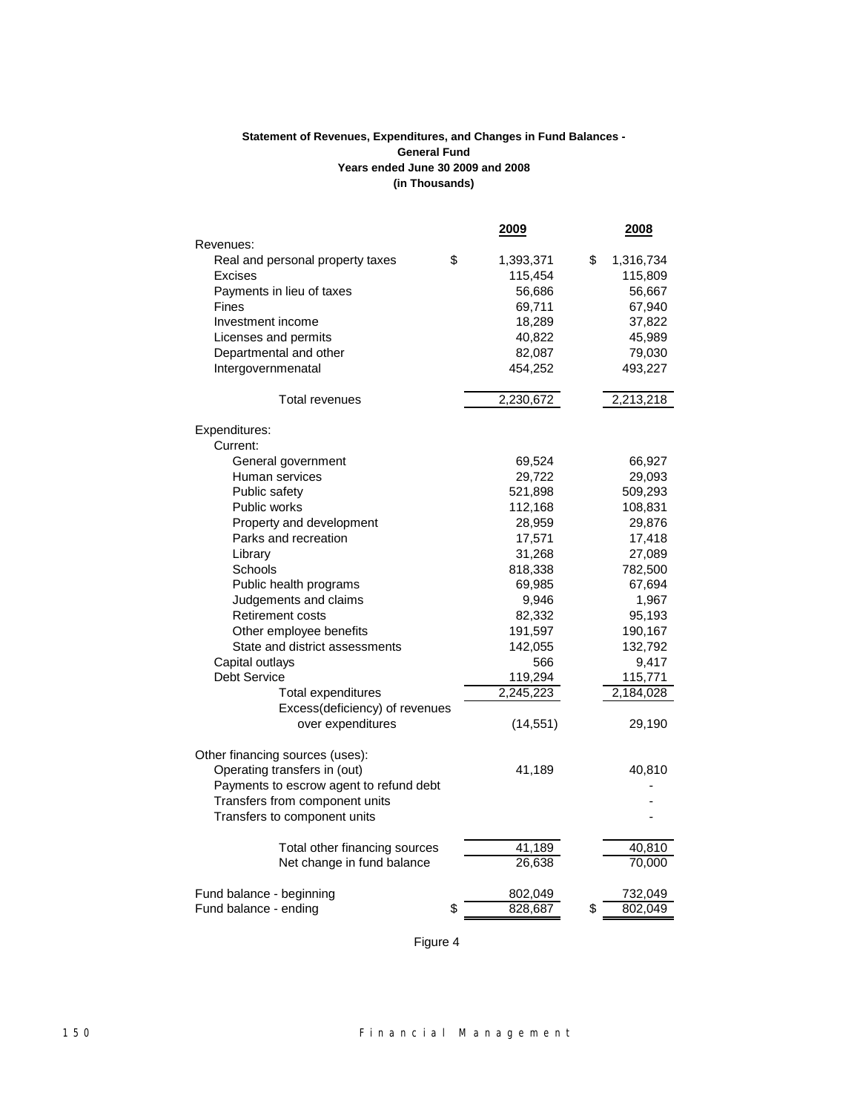## **(in Thousands) Statement of Revenues, Expenditures, and Changes in Fund Balances - General Fund Years ended June 30 2009 and 2008**

|                                         | <u> 2009</u>    | <u> 2008 </u>   |
|-----------------------------------------|-----------------|-----------------|
| Revenues:                               |                 |                 |
| Real and personal property taxes        | \$<br>1,393,371 | \$<br>1,316,734 |
| Excises                                 | 115,454         | 115,809         |
| Payments in lieu of taxes               | 56,686          | 56,667          |
| <b>Fines</b>                            | 69,711          | 67,940          |
| Investment income                       | 18,289          | 37,822          |
| Licenses and permits                    | 40,822          | 45,989          |
| Departmental and other                  | 82,087          | 79,030          |
| Intergovernmenatal                      | 454,252         | 493,227         |
| <b>Total revenues</b>                   | 2,230,672       | 2,213,218       |
| Expenditures:                           |                 |                 |
| Current:                                |                 |                 |
| General government                      | 69,524          | 66,927          |
| Human services                          | 29,722          | 29,093          |
| Public safety                           | 521,898         | 509,293         |
| Public works                            | 112,168         | 108,831         |
| Property and development                | 28,959          | 29,876          |
| Parks and recreation                    | 17,571          | 17,418          |
| Library                                 | 31,268          | 27,089          |
| Schools                                 | 818,338         | 782,500         |
| Public health programs                  | 69,985          | 67,694          |
| Judgements and claims                   | 9,946           | 1,967           |
| <b>Retirement costs</b>                 | 82,332          | 95,193          |
| Other employee benefits                 | 191,597         | 190,167         |
| State and district assessments          | 142,055         | 132,792         |
| Capital outlays                         | 566             | 9,417           |
| <b>Debt Service</b>                     | 119,294         | 115,771         |
| <b>Total expenditures</b>               | 2,245,223       | 2,184,028       |
| Excess(deficiency) of revenues          |                 |                 |
| over expenditures                       | (14, 551)       | 29,190          |
| Other financing sources (uses):         |                 |                 |
| Operating transfers in (out)            | 41,189          | 40,810          |
| Payments to escrow agent to refund debt |                 |                 |
| Transfers from component units          |                 |                 |
| Transfers to component units            |                 |                 |
| Total other financing sources           | 41,189          | 40,810          |
| Net change in fund balance              | 26,638          | 70,000          |
| Fund balance - beginning                | 802,049         | 732,049         |
| Fund balance - ending                   | \$<br>828,687   | \$<br>802,049   |

Figure 4